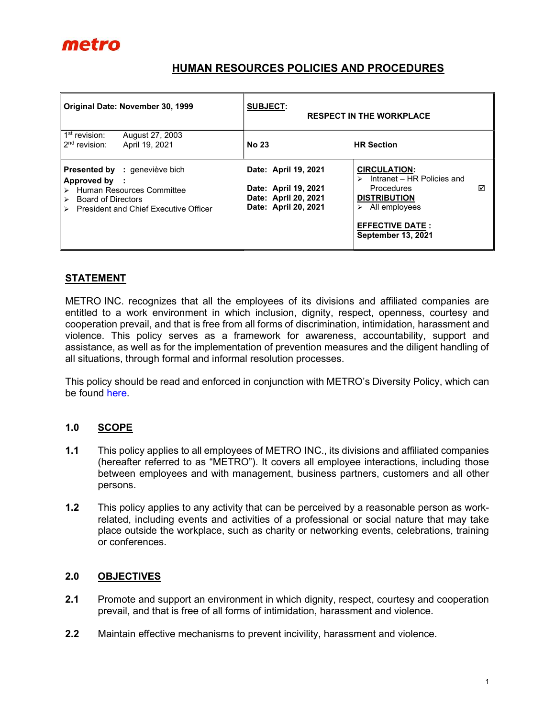

## HUMAN RESOURCES POLICIES AND PROCEDURES

| Original Date: November 30, 1999                                                                                                                                            | <b>SUBJECT:</b><br><b>RESPECT IN THE WORKPLACE</b>                                           |                                                                                                                                                                                                  |
|-----------------------------------------------------------------------------------------------------------------------------------------------------------------------------|----------------------------------------------------------------------------------------------|--------------------------------------------------------------------------------------------------------------------------------------------------------------------------------------------------|
| 1 <sup>st</sup> revision:<br>August 27, 2003<br>$2nd$ revision:<br>April 19, 2021                                                                                           | <b>No 23</b>                                                                                 | <b>HR Section</b>                                                                                                                                                                                |
| <b>Presented by : geneviève bich</b><br>Approved by :<br>> Human Resources Committee<br><b>Board of Directors</b><br>$\triangleright$ President and Chief Executive Officer | Date: April 19, 2021<br>Date: April 19, 2021<br>Date: April 20, 2021<br>Date: April 20, 2021 | <b>CIRCULATION:</b><br>$\triangleright$ Intranet – HR Policies and<br>⊠<br><b>Procedures</b><br><b>DISTRIBUTION</b><br>All employees<br>⋗<br><b>EFFECTIVE DATE:</b><br><b>September 13, 2021</b> |

### **STATEMENT**

METRO INC. recognizes that all the employees of its divisions and affiliated companies are entitled to a work environment in which inclusion, dignity, respect, openness, courtesy and cooperation prevail, and that is free from all forms of discrimination, intimidation, harassment and violence. This policy serves as a framework for awareness, accountability, support and assistance, as well as for the implementation of prevention measures and the diligent handling of all situations, through formal and informal resolution processes.

This policy should be read and enforced in conjunction with METRO's Diversity Policy, which can be found here.

#### 1.0 SCOPE

- 1.1 This policy applies to all employees of METRO INC., its divisions and affiliated companies (hereafter referred to as "METRO"). It covers all employee interactions, including those between employees and with management, business partners, customers and all other persons.
- 1.2 This policy applies to any activity that can be perceived by a reasonable person as workrelated, including events and activities of a professional or social nature that may take place outside the workplace, such as charity or networking events, celebrations, training or conferences.

#### 2.0 OBJECTIVES

- 2.1 Promote and support an environment in which dignity, respect, courtesy and cooperation prevail, and that is free of all forms of intimidation, harassment and violence.
- 2.2 Maintain effective mechanisms to prevent incivility, harassment and violence.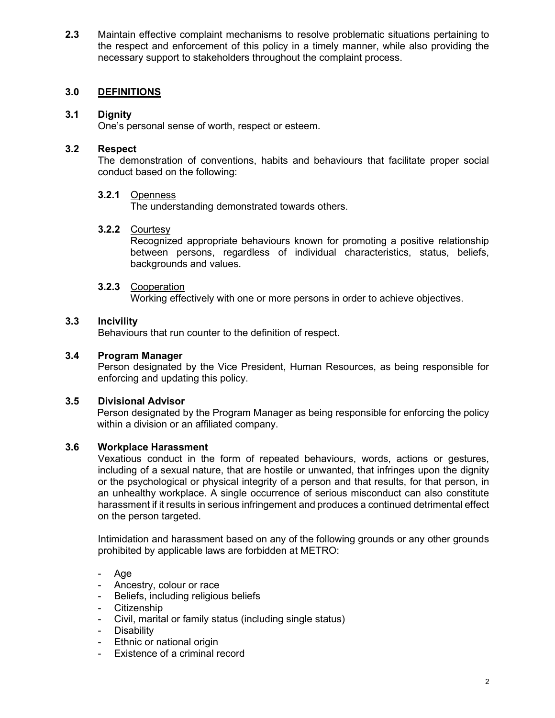2.3 Maintain effective complaint mechanisms to resolve problematic situations pertaining to the respect and enforcement of this policy in a timely manner, while also providing the necessary support to stakeholders throughout the complaint process.

## 3.0 DEFINITIONS

### 3.1 Dignity

One's personal sense of worth, respect or esteem.

#### 3.2 Respect

The demonstration of conventions, habits and behaviours that facilitate proper social conduct based on the following:

#### 3.2.1 Openness

The understanding demonstrated towards others.

#### 3.2.2 Courtesy

Recognized appropriate behaviours known for promoting a positive relationship between persons, regardless of individual characteristics, status, beliefs, backgrounds and values.

#### 3.2.3 Cooperation

Working effectively with one or more persons in order to achieve objectives.

### 3.3 Incivility

Behaviours that run counter to the definition of respect.

### 3.4 Program Manager

Person designated by the Vice President, Human Resources, as being responsible for enforcing and updating this policy.

#### 3.5 Divisional Advisor

Person designated by the Program Manager as being responsible for enforcing the policy within a division or an affiliated company.

#### 3.6 Workplace Harassment

Vexatious conduct in the form of repeated behaviours, words, actions or gestures, including of a sexual nature, that are hostile or unwanted, that infringes upon the dignity or the psychological or physical integrity of a person and that results, for that person, in an unhealthy workplace. A single occurrence of serious misconduct can also constitute harassment if it results in serious infringement and produces a continued detrimental effect on the person targeted.

Intimidation and harassment based on any of the following grounds or any other grounds prohibited by applicable laws are forbidden at METRO:

- Age
- Ancestry, colour or race
- Beliefs, including religious beliefs
- Citizenship
- Civil, marital or family status (including single status)
- Disability
- Ethnic or national origin
- Existence of a criminal record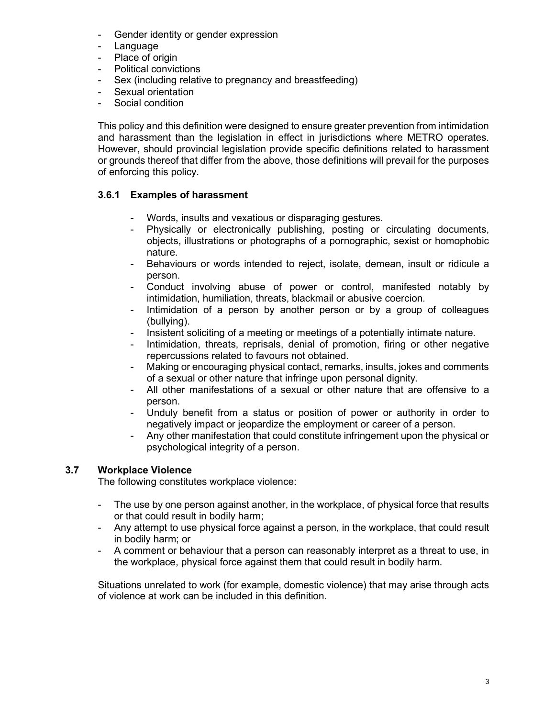- Gender identity or gender expression
- Language
- Place of origin
- Political convictions
- Sex (including relative to pregnancy and breastfeeding)
- Sexual orientation
- Social condition

This policy and this definition were designed to ensure greater prevention from intimidation and harassment than the legislation in effect in jurisdictions where METRO operates. However, should provincial legislation provide specific definitions related to harassment or grounds thereof that differ from the above, those definitions will prevail for the purposes of enforcing this policy.

## 3.6.1 Examples of harassment

- Words, insults and vexatious or disparaging gestures.
- Physically or electronically publishing, posting or circulating documents, objects, illustrations or photographs of a pornographic, sexist or homophobic nature.
- Behaviours or words intended to reject, isolate, demean, insult or ridicule a person.
- Conduct involving abuse of power or control, manifested notably by intimidation, humiliation, threats, blackmail or abusive coercion.
- Intimidation of a person by another person or by a group of colleagues (bullying).
- Insistent soliciting of a meeting or meetings of a potentially intimate nature.
- Intimidation, threats, reprisals, denial of promotion, firing or other negative repercussions related to favours not obtained.
- Making or encouraging physical contact, remarks, insults, jokes and comments of a sexual or other nature that infringe upon personal dignity.
- All other manifestations of a sexual or other nature that are offensive to a person.
- Unduly benefit from a status or position of power or authority in order to negatively impact or jeopardize the employment or career of a person.
- Any other manifestation that could constitute infringement upon the physical or psychological integrity of a person.

# 3.7 Workplace Violence

The following constitutes workplace violence:

- The use by one person against another, in the workplace, of physical force that results or that could result in bodily harm;
- Any attempt to use physical force against a person, in the workplace, that could result in bodily harm; or
- A comment or behaviour that a person can reasonably interpret as a threat to use, in the workplace, physical force against them that could result in bodily harm.

Situations unrelated to work (for example, domestic violence) that may arise through acts of violence at work can be included in this definition.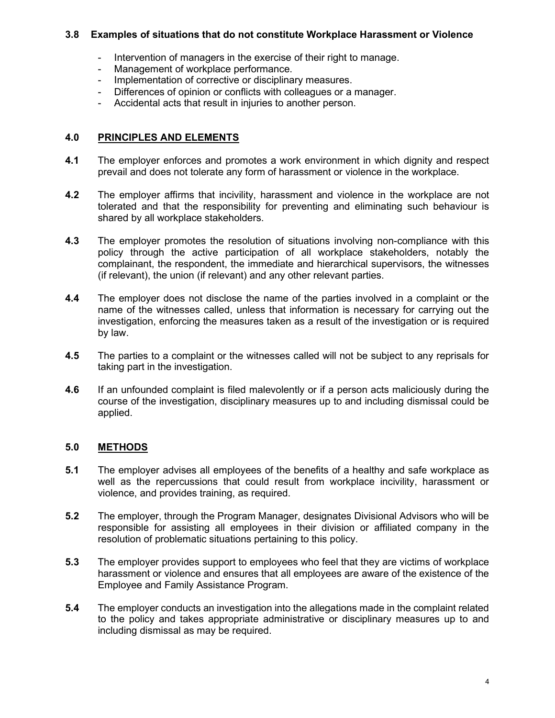### 3.8 Examples of situations that do not constitute Workplace Harassment or Violence

- Intervention of managers in the exercise of their right to manage.
- Management of workplace performance.
- Implementation of corrective or disciplinary measures.
- Differences of opinion or conflicts with colleagues or a manager.
- Accidental acts that result in injuries to another person.

### 4.0 PRINCIPLES AND ELEMENTS

- 4.1 The employer enforces and promotes a work environment in which dignity and respect prevail and does not tolerate any form of harassment or violence in the workplace.
- 4.2 The employer affirms that incivility, harassment and violence in the workplace are not tolerated and that the responsibility for preventing and eliminating such behaviour is shared by all workplace stakeholders.
- 4.3 The employer promotes the resolution of situations involving non-compliance with this policy through the active participation of all workplace stakeholders, notably the complainant, the respondent, the immediate and hierarchical supervisors, the witnesses (if relevant), the union (if relevant) and any other relevant parties.
- **4.4** The employer does not disclose the name of the parties involved in a complaint or the name of the witnesses called, unless that information is necessary for carrying out the investigation, enforcing the measures taken as a result of the investigation or is required by law.
- 4.5 The parties to a complaint or the witnesses called will not be subject to any reprisals for taking part in the investigation.
- 4.6 If an unfounded complaint is filed malevolently or if a person acts maliciously during the course of the investigation, disciplinary measures up to and including dismissal could be applied.

# 5.0 METHODS

- 5.1 The employer advises all employees of the benefits of a healthy and safe workplace as well as the repercussions that could result from workplace incivility, harassment or violence, and provides training, as required.
- 5.2 The employer, through the Program Manager, designates Divisional Advisors who will be responsible for assisting all employees in their division or affiliated company in the resolution of problematic situations pertaining to this policy.
- 5.3 The employer provides support to employees who feel that they are victims of workplace harassment or violence and ensures that all employees are aware of the existence of the Employee and Family Assistance Program.
- 5.4 The employer conducts an investigation into the allegations made in the complaint related to the policy and takes appropriate administrative or disciplinary measures up to and including dismissal as may be required.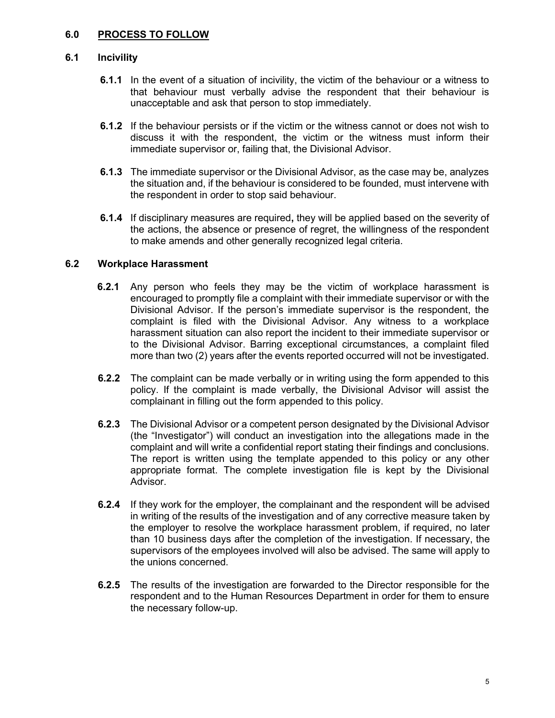### 6.0 PROCESS TO FOLLOW

#### 6.1 Incivility

- **6.1.1** In the event of a situation of incivility, the victim of the behaviour or a witness to that behaviour must verbally advise the respondent that their behaviour is unacceptable and ask that person to stop immediately.
- 6.1.2 If the behaviour persists or if the victim or the witness cannot or does not wish to discuss it with the respondent, the victim or the witness must inform their immediate supervisor or, failing that, the Divisional Advisor.
- 6.1.3 The immediate supervisor or the Divisional Advisor, as the case may be, analyzes the situation and, if the behaviour is considered to be founded, must intervene with the respondent in order to stop said behaviour.
- 6.1.4 If disciplinary measures are required, they will be applied based on the severity of the actions, the absence or presence of regret, the willingness of the respondent to make amends and other generally recognized legal criteria.

#### 6.2 Workplace Harassment

- **6.2.1** Any person who feels they may be the victim of workplace harassment is encouraged to promptly file a complaint with their immediate supervisor or with the Divisional Advisor. If the person's immediate supervisor is the respondent, the complaint is filed with the Divisional Advisor. Any witness to a workplace harassment situation can also report the incident to their immediate supervisor or to the Divisional Advisor. Barring exceptional circumstances, a complaint filed more than two (2) years after the events reported occurred will not be investigated.
- **6.2.2** The complaint can be made verbally or in writing using the form appended to this policy. If the complaint is made verbally, the Divisional Advisor will assist the complainant in filling out the form appended to this policy.
- 6.2.3 The Divisional Advisor or a competent person designated by the Divisional Advisor (the "Investigator") will conduct an investigation into the allegations made in the complaint and will write a confidential report stating their findings and conclusions. The report is written using the template appended to this policy or any other appropriate format. The complete investigation file is kept by the Divisional Advisor.
- **6.2.4** If they work for the employer, the complainant and the respondent will be advised in writing of the results of the investigation and of any corrective measure taken by the employer to resolve the workplace harassment problem, if required, no later than 10 business days after the completion of the investigation. If necessary, the supervisors of the employees involved will also be advised. The same will apply to the unions concerned.
- **6.2.5** The results of the investigation are forwarded to the Director responsible for the respondent and to the Human Resources Department in order for them to ensure the necessary follow-up.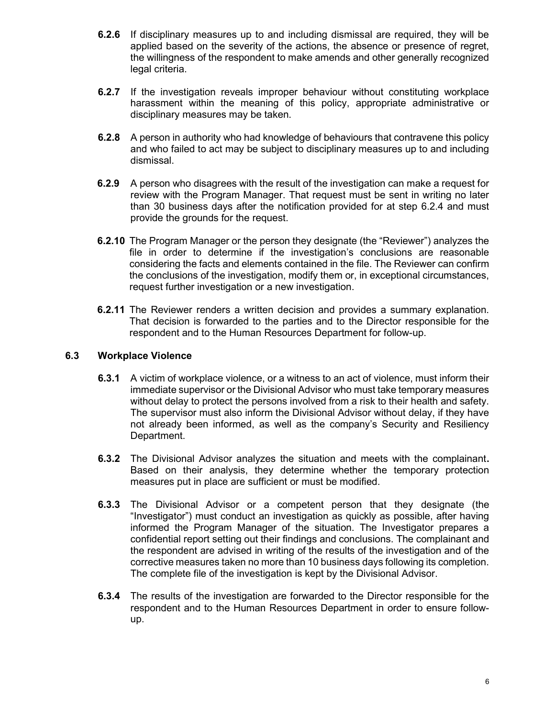- 6.2.6 If disciplinary measures up to and including dismissal are required, they will be applied based on the severity of the actions, the absence or presence of regret, the willingness of the respondent to make amends and other generally recognized legal criteria.
- **6.2.7** If the investigation reveals improper behaviour without constituting workplace harassment within the meaning of this policy, appropriate administrative or disciplinary measures may be taken.
- **6.2.8** A person in authority who had knowledge of behaviours that contravene this policy and who failed to act may be subject to disciplinary measures up to and including dismissal.
- **6.2.9** A person who disagrees with the result of the investigation can make a request for review with the Program Manager. That request must be sent in writing no later than 30 business days after the notification provided for at step 6.2.4 and must provide the grounds for the request.
- 6.2.10 The Program Manager or the person they designate (the "Reviewer") analyzes the file in order to determine if the investigation's conclusions are reasonable considering the facts and elements contained in the file. The Reviewer can confirm the conclusions of the investigation, modify them or, in exceptional circumstances, request further investigation or a new investigation.
- 6.2.11 The Reviewer renders a written decision and provides a summary explanation. That decision is forwarded to the parties and to the Director responsible for the respondent and to the Human Resources Department for follow-up.

### 6.3 Workplace Violence

- 6.3.1 A victim of workplace violence, or a witness to an act of violence, must inform their immediate supervisor or the Divisional Advisor who must take temporary measures without delay to protect the persons involved from a risk to their health and safety. The supervisor must also inform the Divisional Advisor without delay, if they have not already been informed, as well as the company's Security and Resiliency Department.
- 6.3.2 The Divisional Advisor analyzes the situation and meets with the complainant. Based on their analysis, they determine whether the temporary protection measures put in place are sufficient or must be modified.
- 6.3.3 The Divisional Advisor or a competent person that they designate (the "Investigator") must conduct an investigation as quickly as possible, after having informed the Program Manager of the situation. The Investigator prepares a confidential report setting out their findings and conclusions. The complainant and the respondent are advised in writing of the results of the investigation and of the corrective measures taken no more than 10 business days following its completion. The complete file of the investigation is kept by the Divisional Advisor.
- 6.3.4 The results of the investigation are forwarded to the Director responsible for the respondent and to the Human Resources Department in order to ensure followup.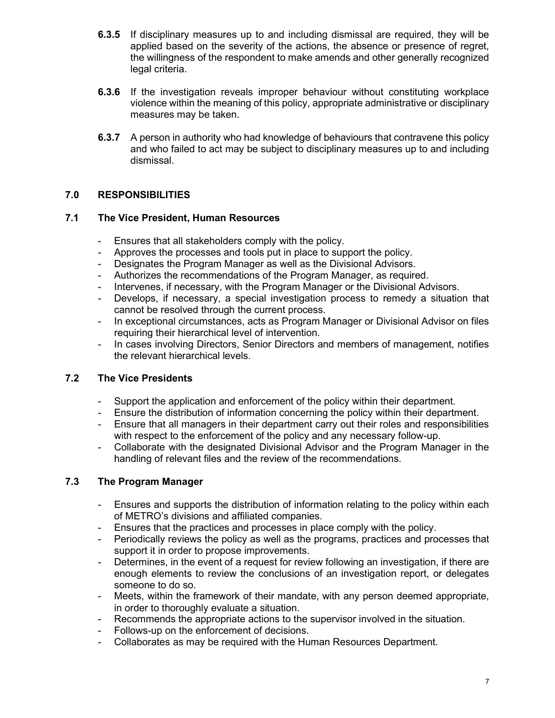- 6.3.5 If disciplinary measures up to and including dismissal are required, they will be applied based on the severity of the actions, the absence or presence of regret, the willingness of the respondent to make amends and other generally recognized legal criteria.
- 6.3.6 If the investigation reveals improper behaviour without constituting workplace violence within the meaning of this policy, appropriate administrative or disciplinary measures may be taken.
- **6.3.7** A person in authority who had knowledge of behaviours that contravene this policy and who failed to act may be subject to disciplinary measures up to and including dismissal.

# 7.0 RESPONSIBILITIES

#### 7.1 The Vice President, Human Resources

- Ensures that all stakeholders comply with the policy.
- Approves the processes and tools put in place to support the policy.
- Designates the Program Manager as well as the Divisional Advisors.
- Authorizes the recommendations of the Program Manager, as required.
- Intervenes, if necessary, with the Program Manager or the Divisional Advisors.
- Develops, if necessary, a special investigation process to remedy a situation that cannot be resolved through the current process.
- In exceptional circumstances, acts as Program Manager or Divisional Advisor on files requiring their hierarchical level of intervention.
- In cases involving Directors, Senior Directors and members of management, notifies the relevant hierarchical levels.

### 7.2 The Vice Presidents

- Support the application and enforcement of the policy within their department.
- Ensure the distribution of information concerning the policy within their department.
- Ensure that all managers in their department carry out their roles and responsibilities with respect to the enforcement of the policy and any necessary follow-up.
- Collaborate with the designated Divisional Advisor and the Program Manager in the handling of relevant files and the review of the recommendations.

### 7.3 The Program Manager

- Ensures and supports the distribution of information relating to the policy within each of METRO's divisions and affiliated companies.
- Ensures that the practices and processes in place comply with the policy.
- Periodically reviews the policy as well as the programs, practices and processes that support it in order to propose improvements.
- Determines, in the event of a request for review following an investigation, if there are enough elements to review the conclusions of an investigation report, or delegates someone to do so.
- Meets, within the framework of their mandate, with any person deemed appropriate, in order to thoroughly evaluate a situation.
- Recommends the appropriate actions to the supervisor involved in the situation.
- Follows-up on the enforcement of decisions.
- Collaborates as may be required with the Human Resources Department.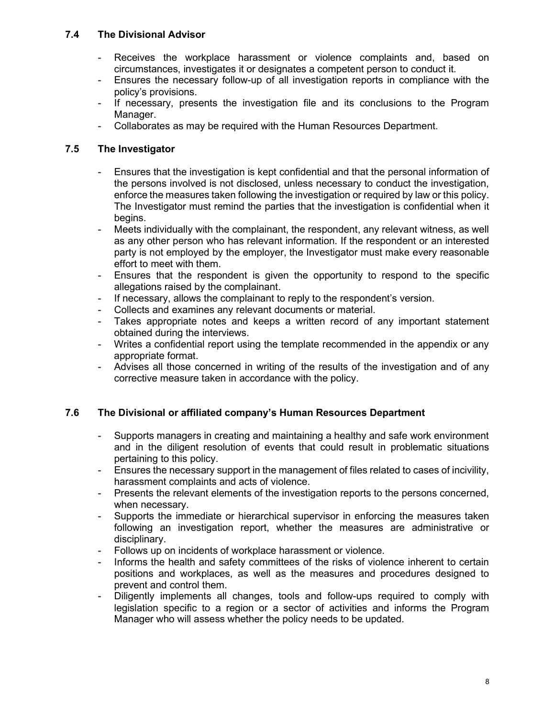## 7.4 The Divisional Advisor

- Receives the workplace harassment or violence complaints and, based on circumstances, investigates it or designates a competent person to conduct it.
- Ensures the necessary follow-up of all investigation reports in compliance with the policy's provisions.
- If necessary, presents the investigation file and its conclusions to the Program Manager.
- Collaborates as may be required with the Human Resources Department.

# 7.5 The Investigator

- Ensures that the investigation is kept confidential and that the personal information of the persons involved is not disclosed, unless necessary to conduct the investigation, enforce the measures taken following the investigation or required by law or this policy. The Investigator must remind the parties that the investigation is confidential when it begins.
- Meets individually with the complainant, the respondent, any relevant witness, as well as any other person who has relevant information. If the respondent or an interested party is not employed by the employer, the Investigator must make every reasonable effort to meet with them.
- Ensures that the respondent is given the opportunity to respond to the specific allegations raised by the complainant.
- If necessary, allows the complainant to reply to the respondent's version.
- Collects and examines any relevant documents or material.
- Takes appropriate notes and keeps a written record of any important statement obtained during the interviews.
- Writes a confidential report using the template recommended in the appendix or any appropriate format.
- Advises all those concerned in writing of the results of the investigation and of any corrective measure taken in accordance with the policy.

# 7.6 The Divisional or affiliated company's Human Resources Department

- Supports managers in creating and maintaining a healthy and safe work environment and in the diligent resolution of events that could result in problematic situations pertaining to this policy.
- Ensures the necessary support in the management of files related to cases of incivility, harassment complaints and acts of violence.
- Presents the relevant elements of the investigation reports to the persons concerned, when necessary.
- Supports the immediate or hierarchical supervisor in enforcing the measures taken following an investigation report, whether the measures are administrative or disciplinary.
- Follows up on incidents of workplace harassment or violence.
- Informs the health and safety committees of the risks of violence inherent to certain positions and workplaces, as well as the measures and procedures designed to prevent and control them.
- Diligently implements all changes, tools and follow-ups required to comply with legislation specific to a region or a sector of activities and informs the Program Manager who will assess whether the policy needs to be updated.